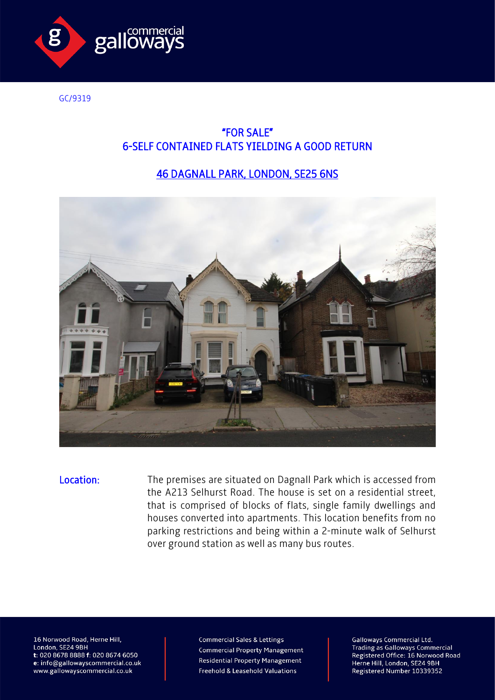

GC/9319

## "FOR SALE" 6-SELF CONTAINED FLATS YIELDING A GOOD RETURN

## 46 DAGNALL PARK, LONDON, SE25 6NS



Location: The premises are situated on Dagnall Park which is accessed from the A213 Selhurst Road. The house is set on a residential street, that is comprised of blocks of flats, single family dwellings and houses converted into apartments. This location benefits from no parking restrictions and being within a 2-minute walk of Selhurst over ground station as well as many bus routes.

16 Norwood Road, Herne Hill, London, SE24 9BH t: 020 8678 8888 f: 020 8674 6050 e: info@gallowayscommercial.co.uk www.gallowayscommercial.co.uk

**Commercial Sales & Lettings Commercial Property Management Residential Property Management** Freehold & Leasehold Valuations

**Galloways Commercial Ltd. Trading as Galloways Commercial** Registered Office: 16 Norwood Road Herne Hill, London, SE24 9BH<br>Registered Number 10339352